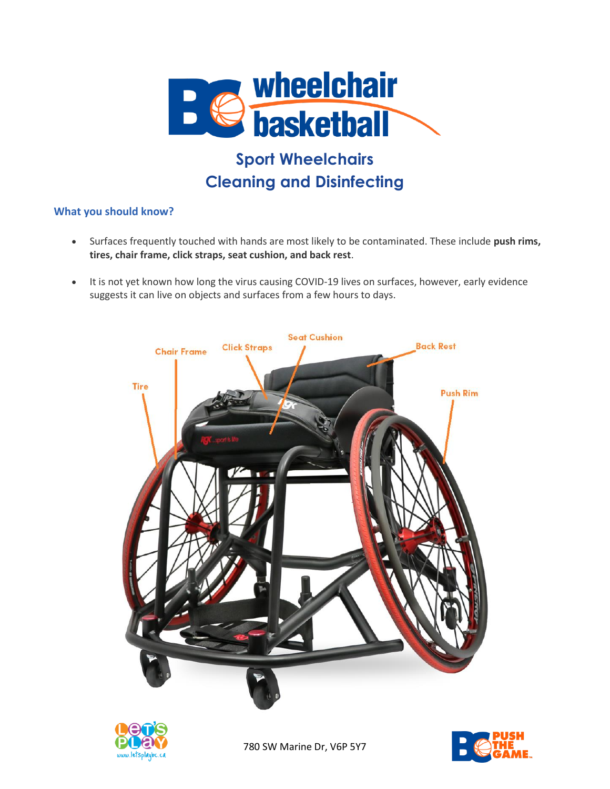

# **Sport Wheelchairs Cleaning and Disinfecting**

## **What you should know?**

- Surfaces frequently touched with hands are most likely to be contaminated. These include **push rims, tires, chair frame, click straps, seat cushion, and back rest**.
- It is not yet known how long the virus causing COVID-19 lives on surfaces, however, early evidence suggests it can live on objects and surfaces from a few hours to days.